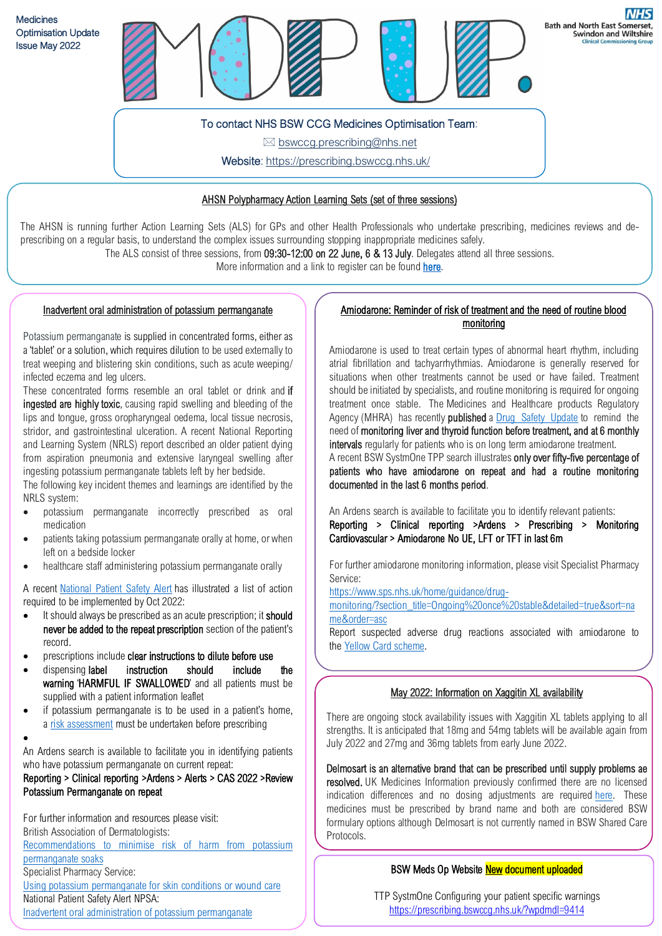

 $\boxtimes$  bswccg.prescribing@nhs.net

Website[: https://prescribing.bswccg.nhs.uk/](https://prescribing.wiltshireccg.nhs.uk/)

## AHSN Polypharmacy Action Learning Sets (set of three sessions)

The AHSN is running further Action Learning Sets (ALS) for GPs and other Health Professionals who undertake prescribing, medicines reviews and deprescribing on a regular basis, to understand the complex issues surrounding stopping inappropriate medicines safely.

The ALS consist of three sessions, from 09:30-12:00 on 22 June, 6 & 13 July. Delegates attend all three sessions.

More information and a link to register can be found [here.](https://wessexahsn.us12.list-manage.com/track/click?u=b562d185722340f65a383e827&id=f5adfd3314&e=2c8b28555c)

### Inadvertent oral administration of potassium permanganate

Potassium permanganate is supplied in concentrated forms, either as a 'tablet' or a solution, which requires dilution to be used externally to treat weeping and blistering skin conditions, such as acute weeping/ infected eczema and leg ulcers.

These concentrated forms resemble an oral tablet or drink and if ingested are highly toxic, causing rapid swelling and bleeding of the lips and tongue, gross oropharyngeal oedema, local tissue necrosis, stridor, and gastrointestinal ulceration. A recent National Reporting and Learning System (NRLS) report described an older patient dying from aspiration pneumonia and extensive laryngeal swelling after ingesting potassium permanganate tablets left by her bedside.

The following key incident themes and learnings are identified by the NRLS system:

- potassium permanganate incorrectly prescribed as oral medication
- patients taking potassium permanganate orally at home, or when left on a bedside locker
- healthcare staff administering potassium permanganate orally

A recent [National](https://www.cas.mhra.gov.uk/ViewandAcknowledgment/ViewAlert.aspx?AlertID=103202) Patient Safety Alert has illustrated a list of action required to be implemented by Oct 2022:

- It should always be prescribed as an acute prescription; it should never be added to the repeat prescription section of the patient's record.
- prescriptions include clear instructions to dilute before use
- dispensing label instruction should include the warning 'HARMFUL IF SWALLOWED' and all patients must be supplied with a patient information leaflet
- if potassium permanganate is to be used in a patient's home, a risk [assessment](https://cdn.bad.org.uk/uploads/2022/05/04163130/Guidance-for-safe-use-of-potassium-permanganate-soaks-FINAL-for-website.pdf) must be undertaken before prescribing
- •

An Ardens search is available to facilitate you in identifying patients who have potassium permanganate on current repeat:

# Reporting > Clinical reporting >Ardens > Alerts > CAS 2022 >Review Potassium Permanganate on repeat

For further information and resources please visit: British Association of Dermatologists:

[Recommendations](https://cdn.bad.org.uk/uploads/2022/05/04163130/Guidance-for-safe-use-of-potassium-permanganate-soaks-FINAL-for-website.pdf) to minimise risk of harm from potassium [permanganate](https://cdn.bad.org.uk/uploads/2022/05/04163130/Guidance-for-safe-use-of-potassium-permanganate-soaks-FINAL-for-website.pdf) soaks Specialist Pharmacy Service: Using potassium [permanganate](https://www.sps.nhs.uk/articles/using-potassium-permanganate-for-skin-conditions-or-wound-care/) for skin conditions or wound care National Patient Safety Alert NPSA:

#### Inadvertent oral administration of potassium permanganate

# Amiodarone: Reminder of risk of treatment and the need of routine blood monitoring

Amiodarone is used to treat certain types of abnormal heart rhythm, including atrial fibrillation and tachyarrhythmias. Amiodarone is generally reserved for situations when other treatments cannot be used or have failed. Treatment should be initiated by specialists, and routine monitoring is required for ongoing treatment once stable. The Medicines and Healthcare products Regulatory Agency (MHRA) has recently **published** a Drug Safety [Update](https://assets.publishing.service.gov.uk/government/uploads/system/uploads/attachment_data/file/1060841/March-2022-DSU-PDF.pdf) to remind the need of monitoring liver and thyroid function before treatment, and at 6 monthly intervals regularly for patients who is on long term amiodarone treatment. A recent BSW SystmOne TPP search illustrates only over fifty-five percentage of patients who have amiodarone on repeat and had a routine monitoring documented in the last 6 months period.

An Ardens search is available to facilitate you to identify relevant patients:

Reporting > Clinical reporting >Ardens > Prescribing > Monitoring Cardiovascular > Amiodarone No UE, LFT or TFT in last 6m

For further amiodarone monitoring information, please visit Specialist Pharmacy Service:

[https://www.sps.nhs.uk/home/guidance/drug-](https://www.sps.nhs.uk/home/guidance/drug-monitoring/?section_title=Ongoing%20once%20stable&detailed=true&sort=name&order=asc)

[monitoring/?section\\_title=Ongoing%20once%20stable&detailed=true&sort=na](https://www.sps.nhs.uk/home/guidance/drug-monitoring/?section_title=Ongoing%20once%20stable&detailed=true&sort=name&order=asc) [me&order=asc](https://www.sps.nhs.uk/home/guidance/drug-monitoring/?section_title=Ongoing%20once%20stable&detailed=true&sort=name&order=asc)

Report suspected adverse drug reactions associated with amiodarone to the Yellow Card [scheme.](https://yellowcard.mhra.gov.uk/)

### May 2022: Information on Xaggitin XL availability

There are ongoing stock availability issues with Xaggitin XL tablets applying to all strengths. It is anticipated that 18mg and 54mg tablets will be available again from July 2022 and 27mg and 36mg tablets from early June 2022.

Delmosart is an alternative brand that can be prescribed until supply problems ae resolved. UK Medicines Information previously confirmed there are no licensed indication differences and no dosing adjustments are required [here.](https://www.england.nhs.uk/south/wp-content/uploads/sites/6/2019/11/delmosart-comms-final.pdf) These medicines must be prescribed by brand name and both are considered BSW formulary options although Delmosart is not currently named in BSW Shared Care Protocols.

### BSW Meds Op Website New document uploaded

TTP SystmOne Configuring your patient specific warnings <https://prescribing.bswccg.nhs.uk/?wpdmdl=9414>